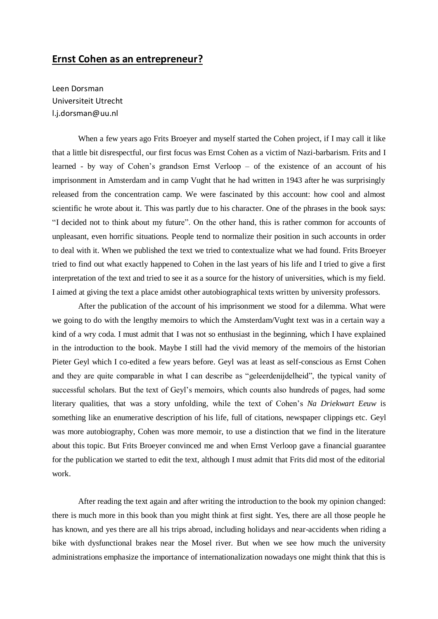## **Ernst Cohen as an entrepreneur?**

Leen Dorsman Universiteit Utrecht l.j.dorsman@uu.nl

When a few years ago Frits Broeyer and myself started the Cohen project, if I may call it like that a little bit disrespectful, our first focus was Ernst Cohen as a victim of Nazi-barbarism. Frits and I learned - by way of Cohen's grandson Ernst Verloop – of the existence of an account of his imprisonment in Amsterdam and in camp Vught that he had written in 1943 after he was surprisingly released from the concentration camp. We were fascinated by this account: how cool and almost scientific he wrote about it. This was partly due to his character. One of the phrases in the book says: "I decided not to think about my future". On the other hand, this is rather common for accounts of unpleasant, even horrific situations. People tend to normalize their position in such accounts in order to deal with it. When we published the text we tried to contextualize what we had found. Frits Broeyer tried to find out what exactly happened to Cohen in the last years of his life and I tried to give a first interpretation of the text and tried to see it as a source for the history of universities, which is my field. I aimed at giving the text a place amidst other autobiographical texts written by university professors.

After the publication of the account of his imprisonment we stood for a dilemma. What were we going to do with the lengthy memoirs to which the Amsterdam/Vught text was in a certain way a kind of a wry coda. I must admit that I was not so enthusiast in the beginning, which I have explained in the introduction to the book. Maybe I still had the vivid memory of the memoirs of the historian Pieter Geyl which I co-edited a few years before. Geyl was at least as self-conscious as Ernst Cohen and they are quite comparable in what I can describe as "geleerdenijdelheid", the typical vanity of successful scholars. But the text of Geyl's memoirs, which counts also hundreds of pages, had some literary qualities, that was a story unfolding, while the text of Cohen's *Na Driekwart Eeuw* is something like an enumerative description of his life, full of citations, newspaper clippings etc. Geyl was more autobiography, Cohen was more memoir, to use a distinction that we find in the literature about this topic. But Frits Broeyer convinced me and when Ernst Verloop gave a financial guarantee for the publication we started to edit the text, although I must admit that Frits did most of the editorial work.

After reading the text again and after writing the introduction to the book my opinion changed: there is much more in this book than you might think at first sight. Yes, there are all those people he has known, and yes there are all his trips abroad, including holidays and near-accidents when riding a bike with dysfunctional brakes near the Mosel river. But when we see how much the university administrations emphasize the importance of internationalization nowadays one might think that this is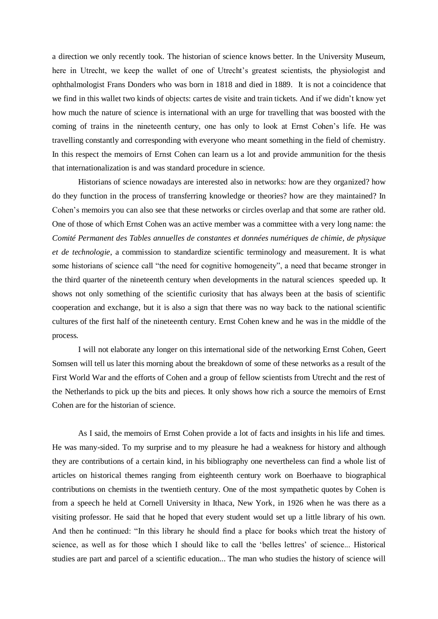a direction we only recently took. The historian of science knows better. In the University Museum, here in Utrecht, we keep the wallet of one of Utrecht's greatest scientists, the physiologist and ophthalmologist Frans Donders who was born in 1818 and died in 1889. It is not a coincidence that we find in this wallet two kinds of objects: cartes de visite and train tickets. And if we didn't know yet how much the nature of science is international with an urge for travelling that was boosted with the coming of trains in the nineteenth century, one has only to look at Ernst Cohen's life. He was travelling constantly and corresponding with everyone who meant something in the field of chemistry. In this respect the memoirs of Ernst Cohen can learn us a lot and provide ammunition for the thesis that internationalization is and was standard procedure in science.

Historians of science nowadays are interested also in networks: how are they organized? how do they function in the process of transferring knowledge or theories? how are they maintained? In Cohen's memoirs you can also see that these networks or circles overlap and that some are rather old. One of those of which Ernst Cohen was an active member was a committee with a very long name: the *Comité Permanent des Tables annuelles de constantes et données numériques de chimie, de physique et de technologie*, a commission to standardize scientific terminology and measurement. It is what some historians of science call "the need for cognitive homogeneity", a need that became stronger in the third quarter of the nineteenth century when developments in the natural sciences speeded up. It shows not only something of the scientific curiosity that has always been at the basis of scientific cooperation and exchange, but it is also a sign that there was no way back to the national scientific cultures of the first half of the nineteenth century. Ernst Cohen knew and he was in the middle of the process.

I will not elaborate any longer on this international side of the networking Ernst Cohen, Geert Somsen will tell us later this morning about the breakdown of some of these networks as a result of the First World War and the efforts of Cohen and a group of fellow scientists from Utrecht and the rest of the Netherlands to pick up the bits and pieces. It only shows how rich a source the memoirs of Ernst Cohen are for the historian of science.

As I said, the memoirs of Ernst Cohen provide a lot of facts and insights in his life and times. He was many-sided. To my surprise and to my pleasure he had a weakness for history and although they are contributions of a certain kind, in his bibliography one nevertheless can find a whole list of articles on historical themes ranging from eighteenth century work on Boerhaave to biographical contributions on chemists in the twentieth century. One of the most sympathetic quotes by Cohen is from a speech he held at Cornell University in Ithaca, New York, in 1926 when he was there as a visiting professor. He said that he hoped that every student would set up a little library of his own. And then he continued: "In this library he should find a place for books which treat the history of science, as well as for those which I should like to call the 'belles lettres' of science... Historical studies are part and parcel of a scientific education... The man who studies the history of science will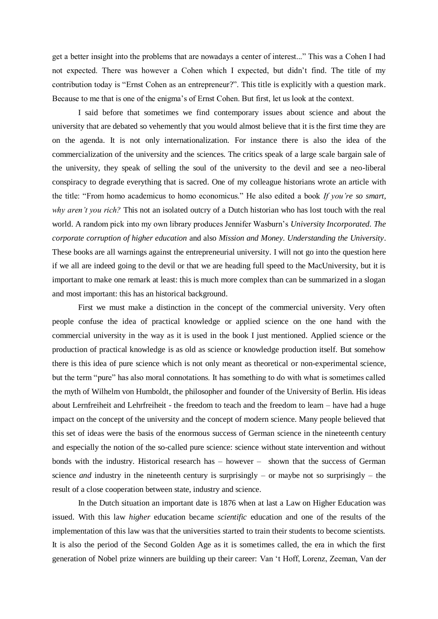get a better insight into the problems that are nowadays a center of interest..." This was a Cohen I had not expected. There was however a Cohen which I expected, but didn't find. The title of my contribution today is "Ernst Cohen as an entrepreneur?". This title is explicitly with a question mark. Because to me that is one of the enigma's of Ernst Cohen. But first, let us look at the context.

I said before that sometimes we find contemporary issues about science and about the university that are debated so vehemently that you would almost believe that it is the first time they are on the agenda. It is not only internationalization. For instance there is also the idea of the commercialization of the university and the sciences. The critics speak of a large scale bargain sale of the university, they speak of selling the soul of the university to the devil and see a neo-liberal conspiracy to degrade everything that is sacred. One of my colleague historians wrote an article with the title: "From homo academicus to homo economicus." He also edited a book *If you're so smart, why aren't you rich?* This not an isolated outcry of a Dutch historian who has lost touch with the real world. A random pick into my own library produces Jennifer Wasburn's *University Incorporated. The corporate corruption of higher education* and also *Mission and Money. Understanding the University*. These books are all warnings against the entrepreneurial university. I will not go into the question here if we all are indeed going to the devil or that we are heading full speed to the MacUniversity, but it is important to make one remark at least: this is much more complex than can be summarized in a slogan and most important: this has an historical background.

First we must make a distinction in the concept of the commercial university. Very often people confuse the idea of practical knowledge or applied science on the one hand with the commercial university in the way as it is used in the book I just mentioned. Applied science or the production of practical knowledge is as old as science or knowledge production itself. But somehow there is this idea of pure science which is not only meant as theoretical or non-experimental science, but the term "pure" has also moral connotations. It has something to do with what is sometimes called the myth of Wilhelm von Humboldt, the philosopher and founder of the University of Berlin. His ideas about Lernfreiheit and Lehrfreiheit - the freedom to teach and the freedom to learn – have had a huge impact on the concept of the university and the concept of modern science. Many people believed that this set of ideas were the basis of the enormous success of German science in the nineteenth century and especially the notion of the so-called pure science: science without state intervention and without bonds with the industry. Historical research has – however – shown that the success of German science *and* industry in the nineteenth century is surprisingly – or maybe not so surprisingly – the result of a close cooperation between state, industry and science.

In the Dutch situation an important date is 1876 when at last a Law on Higher Education was issued. With this law *higher* education became *scientific* education and one of the results of the implementation of this law was that the universities started to train their students to become scientists. It is also the period of the Second Golden Age as it is sometimes called, the era in which the first generation of Nobel prize winners are building up their career: Van 't Hoff, Lorenz, Zeeman, Van der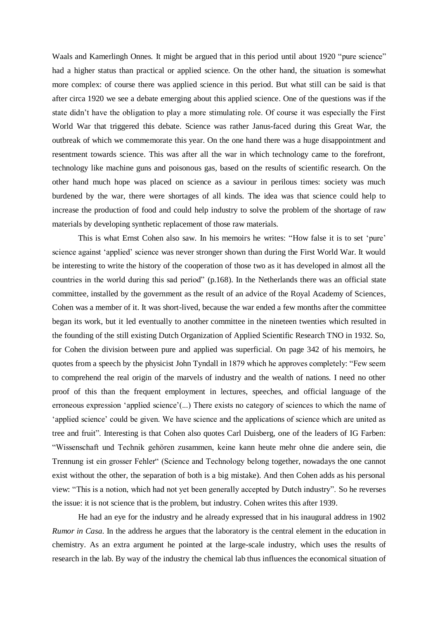Waals and Kamerlingh Onnes. It might be argued that in this period until about 1920 "pure science" had a higher status than practical or applied science. On the other hand, the situation is somewhat more complex: of course there was applied science in this period. But what still can be said is that after circa 1920 we see a debate emerging about this applied science. One of the questions was if the state didn't have the obligation to play a more stimulating role. Of course it was especially the First World War that triggered this debate. Science was rather Janus-faced during this Great War, the outbreak of which we commemorate this year. On the one hand there was a huge disappointment and resentment towards science. This was after all the war in which technology came to the forefront, technology like machine guns and poisonous gas, based on the results of scientific research. On the other hand much hope was placed on science as a saviour in perilous times: society was much burdened by the war, there were shortages of all kinds. The idea was that science could help to increase the production of food and could help industry to solve the problem of the shortage of raw materials by developing synthetic replacement of those raw materials.

This is what Ernst Cohen also saw. In his memoirs he writes: "How false it is to set 'pure' science against 'applied' science was never stronger shown than during the First World War. It would be interesting to write the history of the cooperation of those two as it has developed in almost all the countries in the world during this sad period" (p.168). In the Netherlands there was an official state committee, installed by the government as the result of an advice of the Royal Academy of Sciences, Cohen was a member of it. It was short-lived, because the war ended a few months after the committee began its work, but it led eventually to another committee in the nineteen twenties which resulted in the founding of the still existing Dutch Organization of Applied Scientific Research TNO in 1932. So, for Cohen the division between pure and applied was superficial. On page 342 of his memoirs, he quotes from a speech by the physicist John Tyndall in 1879 which he approves completely: "Few seem to comprehend the real origin of the marvels of industry and the wealth of nations. I need no other proof of this than the frequent employment in lectures, speeches, and official language of the erroneous expression 'applied science'(...) There exists no category of sciences to which the name of 'applied science' could be given. We have science and the applications of science which are united as tree and fruit". Interesting is that Cohen also quotes Carl Duisberg, one of the leaders of IG Farben: "Wissenschaft und Technik gehören zusammen, keine kann heute mehr ohne die andere sein, die Trennung ist ein grosser Fehler" (Science and Technology belong together, nowadays the one cannot exist without the other, the separation of both is a big mistake). And then Cohen adds as his personal view: "This is a notion, which had not yet been generally accepted by Dutch industry". So he reverses the issue: it is not science that is the problem, but industry. Cohen writes this after 1939.

He had an eye for the industry and he already expressed that in his inaugural address in 1902 *Rumor in Casa*. In the address he argues that the laboratory is the central element in the education in chemistry. As an extra argument he pointed at the large-scale industry, which uses the results of research in the lab. By way of the industry the chemical lab thus influences the economical situation of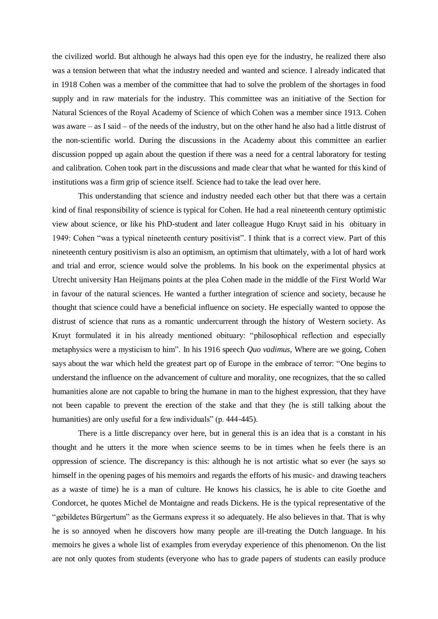the civilized world. But although he always had this open eye for the industry, he realized there also was a tension between that what the industry needed and wanted and science. I already indicated that in 1918 Cohen was a member of the committee that had to solve the problem of the shortages in food supply and in raw materials for the industry. This committee was an initiative of the Section for Natural Sciences of the Royal Academy of Science of which Cohen was a member since 1913. Cohen was aware – as I said – of the needs of the industry, but on the other hand he also had a little distrust of the non-scientific world. During the discussions in the Academy about this committee an earlier discussion popped up again about the question if there was a need for a central laboratory for testing and calibration. Cohen took part in the discussions and made clear that what he wanted for this kind of institutions was a firm grip of science itself. Science had to take the lead over here.

This understanding that science and industry needed each other but that there was a certain kind of final responsibility of science is typical for Cohen. He had a real nineteenth century optimistic view about science, or like his PhD-student and later colleague Hugo Kruyt said in his obituary in 1949: Cohen "was a typical nineteenth century positivist". I think that is a correct view. Part of this nineteenth century positivism is also an optimism, an optimism that ultimately, with a lot of hard work and trial and error, science would solve the problems. In his book on the experimental physics at Utrecht university Han Heijmans points at the plea Cohen made in the middle of the First World War in favour of the natural sciences. He wanted a further integration of science and society, because he thought that science could have a beneficial influence on society. He especially wanted to oppose the distrust of science that runs as a romantic undercurrent through the history of Western society. As Kruyt formulated it in his already mentioned obituary: "philosophical reflection and especially metaphysics were a mysticism to him". In his 1916 speech *Quo vadimus*, Where are we going, Cohen says about the war which held the greatest part op of Europe in the embrace of terror: "One begins to understand the influence on the advancement of culture and morality, one recognizes, that the so called humanities alone are not capable to bring the humane in man to the highest expression, that they have not been capable to prevent the erection of the stake and that they (he is still talking about the humanities) are only useful for a few individuals" (p. 444-445).

There is a little discrepancy over here, but in general this is an idea that is a constant in his thought and he utters it the more when science seems to be in times when he feels there is an oppression of science. The discrepancy is this: although he is not artistic what so ever (he says so himself in the opening pages of his memoirs and regards the efforts of his music- and drawing teachers as a waste of time) he is a man of culture. He knows his classics, he is able to cite Goethe and Condorcet, he quotes Michel de Montaigne and reads Dickens. He is the typical representative of the "gebildetes Bürgertum" as the Germans express it so adequately. He also believes in that. That is why he is so annoyed when he discovers how many people are ill-treating the Dutch language. In his memoirs he gives a whole list of examples from everyday experience of this phenomenon. On the list are not only quotes from students (everyone who has to grade papers of students can easily produce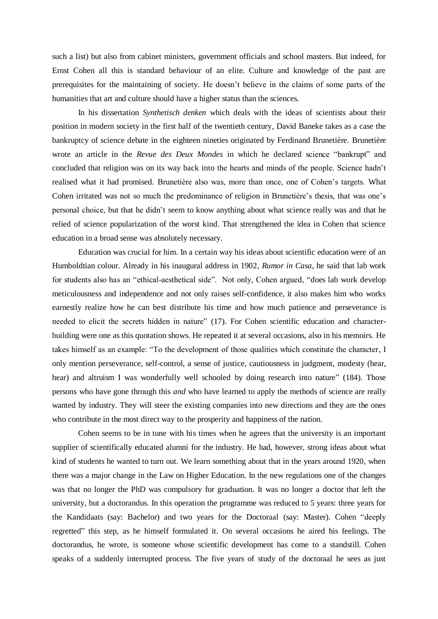such a list) but also from cabinet ministers, government officials and school masters. But indeed, for Ernst Cohen all this is standard behaviour of an elite. Culture and knowledge of the past are prerequisites for the maintaining of society. He doesn't believe in the claims of some parts of the humanities that art and culture should have a higher status than the sciences.

In his dissertation *Synthetisch denken* which deals with the ideas of scientists about their position in modern society in the first half of the twentieth century, David Baneke takes as a case the bankruptcy of science debate in the eighteen nineties originated by Ferdinand Brunetière. Brunetière wrote an article in the *Revue des Deux Mondes* in which he declared science "bankrupt" and concluded that religion was on its way back into the hearts and minds of the people. Science hadn't realised what it had promised. Brunetière also was, more than once, one of Cohen's targets. What Cohen irritated was not so much the predominance of religion in Brunetière's thesis, that was one's personal choice, but that he didn't seem to know anything about what science really was and that he relied of science popularization of the worst kind. That strengthened the idea in Cohen that science education in a broad sense was absolutely necessary.

Education was crucial for him. In a certain way his ideas about scientific education were of an Humboldtian colour. Already in his inaugural address in 1902, *Rumor in Casa*, he said that lab work for students also has an "ethical-aesthetical side". Not only, Cohen argued, "does lab work develop meticulousness and independence and not only raises self-confidence, it also makes him who works earnestly realize how he can best distribute his time and how much patience and perseverance is needed to elicit the secrets hidden in nature" (17). For Cohen scientific education and characterbuilding were one as this quotation shows. He repeated it at several occasions, also in his memoirs. He takes himself as an example: "To the development of those qualities which constitute the character, I only mention perseverance, self-control, a sense of justice, cautiousness in judgment, modesty (hear, hear) and altruism I was wonderfully well schooled by doing research into nature" (184). Those persons who have gone through this *and* who have learned to apply the methods of science are really wanted by industry. They will steer the existing companies into new directions and they are the ones who contribute in the most direct way to the prosperity and happiness of the nation.

Cohen seems to be in tune with his times when he agrees that the university is an important supplier of scientifically educated alumni for the industry. He had, however, strong ideas about what kind of students he wanted to turn out. We learn something about that in the years around 1920, when there was a major change in the Law on Higher Education. In the new regulations one of the changes was that no longer the PhD was compulsory for graduation. It was no longer a doctor that left the university, but a doctorandus. In this operation the programme was reduced to 5 years: three years for the Kandidaats (say: Bachelor) and two years for the Doctoraal (say: Master). Cohen "deeply regretted" this step, as he himself formulated it. On several occasions he aired his feelings. The doctorandus, he wrote, is someone whose scientific development has come to a standstill. Cohen speaks of a suddenly interrupted process. The five years of study of the doctoraal he sees as just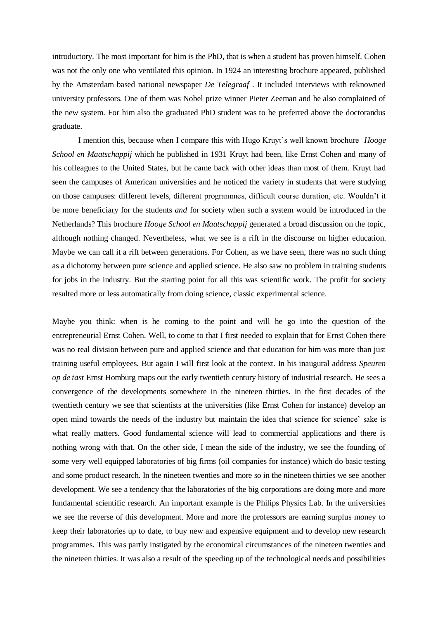introductory. The most important for him is the PhD, that is when a student has proven himself. Cohen was not the only one who ventilated this opinion. In 1924 an interesting brochure appeared, published by the Amsterdam based national newspaper *De Telegraaf* . It included interviews with reknowned university professors. One of them was Nobel prize winner Pieter Zeeman and he also complained of the new system. For him also the graduated PhD student was to be preferred above the doctorandus graduate.

I mention this, because when I compare this with Hugo Kruyt's well known brochure *Hooge School en Maatschappij* which he published in 1931 Kruyt had been, like Ernst Cohen and many of his colleagues to the United States, but he came back with other ideas than most of them. Kruyt had seen the campuses of American universities and he noticed the variety in students that were studying on those campuses: different levels, different programmes, difficult course duration, etc. Wouldn't it be more beneficiary for the students *and* for society when such a system would be introduced in the Netherlands? This brochure *Hooge School en Maatschappij* generated a broad discussion on the topic, although nothing changed. Nevertheless, what we see is a rift in the discourse on higher education. Maybe we can call it a rift between generations. For Cohen, as we have seen, there was no such thing as a dichotomy between pure science and applied science. He also saw no problem in training students for jobs in the industry. But the starting point for all this was scientific work. The profit for society resulted more or less automatically from doing science, classic experimental science.

Maybe you think: when is he coming to the point and will he go into the question of the entrepreneurial Ernst Cohen. Well, to come to that I first needed to explain that for Ernst Cohen there was no real division between pure and applied science and that education for him was more than just training useful employees. But again I will first look at the context. In his inaugural address *Speuren op de tast* Ernst Homburg maps out the early twentieth century history of industrial research. He sees a convergence of the developments somewhere in the nineteen thirties. In the first decades of the twentieth century we see that scientists at the universities (like Ernst Cohen for instance) develop an open mind towards the needs of the industry but maintain the idea that science for science' sake is what really matters. Good fundamental science will lead to commercial applications and there is nothing wrong with that. On the other side, I mean the side of the industry, we see the founding of some very well equipped laboratories of big firms (oil companies for instance) which do basic testing and some product research. In the nineteen twenties and more so in the nineteen thirties we see another development. We see a tendency that the laboratories of the big corporations are doing more and more fundamental scientific research. An important example is the Philips Physics Lab. In the universities we see the reverse of this development. More and more the professors are earning surplus money to keep their laboratories up to date, to buy new and expensive equipment and to develop new research programmes. This was partly instigated by the economical circumstances of the nineteen twenties and the nineteen thirties. It was also a result of the speeding up of the technological needs and possibilities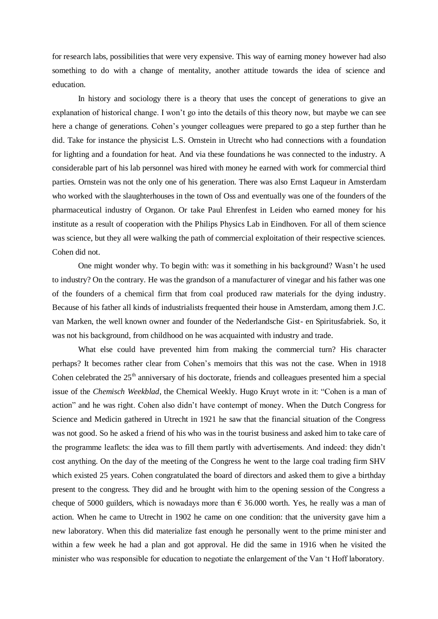for research labs, possibilities that were very expensive. This way of earning money however had also something to do with a change of mentality, another attitude towards the idea of science and education.

In history and sociology there is a theory that uses the concept of generations to give an explanation of historical change. I won't go into the details of this theory now, but maybe we can see here a change of generations. Cohen's younger colleagues were prepared to go a step further than he did. Take for instance the physicist L.S. Ornstein in Utrecht who had connections with a foundation for lighting and a foundation for heat. And via these foundations he was connected to the industry. A considerable part of his lab personnel was hired with money he earned with work for commercial third parties. Ornstein was not the only one of his generation. There was also Ernst Laqueur in Amsterdam who worked with the slaughterhouses in the town of Oss and eventually was one of the founders of the pharmaceutical industry of Organon. Or take Paul Ehrenfest in Leiden who earned money for his institute as a result of cooperation with the Philips Physics Lab in Eindhoven. For all of them science was science, but they all were walking the path of commercial exploitation of their respective sciences. Cohen did not.

One might wonder why. To begin with: was it something in his background? Wasn't he used to industry? On the contrary. He was the grandson of a manufacturer of vinegar and his father was one of the founders of a chemical firm that from coal produced raw materials for the dying industry. Because of his father all kinds of industrialists frequented their house in Amsterdam, among them J.C. van Marken, the well known owner and founder of the Nederlandsche Gist- en Spiritusfabriek. So, it was not his background, from childhood on he was acquainted with industry and trade.

What else could have prevented him from making the commercial turn? His character perhaps? It becomes rather clear from Cohen's memoirs that this was not the case. When in 1918 Cohen celebrated the 25<sup>th</sup> anniversary of his doctorate, friends and colleagues presented him a special issue of the *Chemisch Weekblad*, the Chemical Weekly. Hugo Kruyt wrote in it: "Cohen is a man of action" and he was right. Cohen also didn't have contempt of money. When the Dutch Congress for Science and Medicin gathered in Utrecht in 1921 he saw that the financial situation of the Congress was not good. So he asked a friend of his who was in the tourist business and asked him to take care of the programme leaflets: the idea was to fill them partly with advertisements. And indeed: they didn't cost anything. On the day of the meeting of the Congress he went to the large coal trading firm SHV which existed 25 years. Cohen congratulated the board of directors and asked them to give a birthday present to the congress. They did and he brought with him to the opening session of the Congress a cheque of 5000 guilders, which is nowadays more than  $\epsilon$  36.000 worth. Yes, he really was a man of action. When he came to Utrecht in 1902 he came on one condition: that the university gave him a new laboratory. When this did materialize fast enough he personally went to the prime minister and within a few week he had a plan and got approval. He did the same in 1916 when he visited the minister who was responsible for education to negotiate the enlargement of the Van 't Hoff laboratory.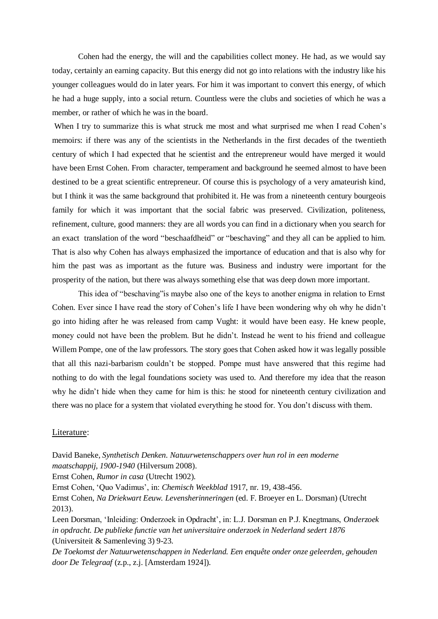Cohen had the energy, the will and the capabilities collect money. He had, as we would say today, certainly an earning capacity. But this energy did not go into relations with the industry like his younger colleagues would do in later years. For him it was important to convert this energy, of which he had a huge supply, into a social return. Countless were the clubs and societies of which he was a member, or rather of which he was in the board.

When I try to summarize this is what struck me most and what surprised me when I read Cohen's memoirs: if there was any of the scientists in the Netherlands in the first decades of the twentieth century of which I had expected that he scientist and the entrepreneur would have merged it would have been Ernst Cohen. From character, temperament and background he seemed almost to have been destined to be a great scientific entrepreneur. Of course this is psychology of a very amateurish kind, but I think it was the same background that prohibited it. He was from a nineteenth century bourgeois family for which it was important that the social fabric was preserved. Civilization, politeness, refinement, culture, good manners: they are all words you can find in a dictionary when you search for an exact translation of the word "beschaafdheid" or "beschaving" and they all can be applied to him. That is also why Cohen has always emphasized the importance of education and that is also why for him the past was as important as the future was. Business and industry were important for the prosperity of the nation, but there was always something else that was deep down more important.

This idea of "beschaving"is maybe also one of the keys to another enigma in relation to Ernst Cohen. Ever since I have read the story of Cohen's life I have been wondering why oh why he didn't go into hiding after he was released from camp Vught: it would have been easy. He knew people, money could not have been the problem. But he didn't. Instead he went to his friend and colleague Willem Pompe, one of the law professors. The story goes that Cohen asked how it was legally possible that all this nazi-barbarism couldn't be stopped. Pompe must have answered that this regime had nothing to do with the legal foundations society was used to. And therefore my idea that the reason why he didn't hide when they came for him is this: he stood for nineteenth century civilization and there was no place for a system that violated everything he stood for. You don't discuss with them.

## Literature:

David Baneke, *Synthetisch Denken. Natuurwetenschappers over hun rol in een moderne maatschappij, 1900-1940* (Hilversum 2008).

Ernst Cohen, *Rumor in casa* (Utrecht 1902).

Ernst Cohen, 'Quo Vadimus', in: *Chemisch Weekblad* 1917, nr. 19, 438-456.

Ernst Cohen, *Na Driekwart Eeuw. Levensherinneringen* (ed. F. Broeyer en L. Dorsman) (Utrecht 2013).

Leen Dorsman, 'Inleiding: Onderzoek in Opdracht', in: L.J. Dorsman en P.J. Knegtmans, *Onderzoek in opdracht. De publieke functie van het universitaire onderzoek in Nederland sedert 1876* (Universiteit & Samenleving 3) 9-23.

*De Toekomst der Natuurwetenschappen in Nederland. Een enquête onder onze geleerden, gehouden door De Telegraaf* (z.p., z.j. [Amsterdam 1924]).